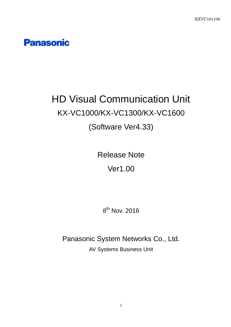## **Panasonic**

# HD Visual Communication Unit KX-VC1000/KX-VC1300/KX-VC1600

## (Software Ver4.33)

Release Note Ver1.00

 $8^{\sf th}$  Nov. 2016

Panasonic System Networks Co., Ltd. AV Systems Business Unit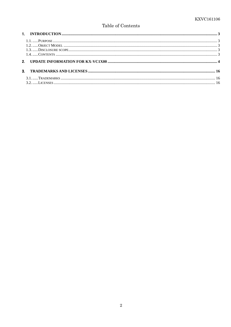#### Table of Contents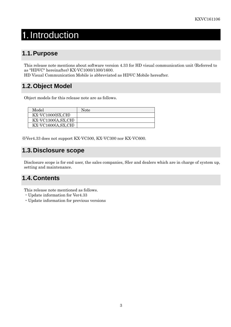## 1. Introduction

### **1.1. Purpose**

This release note mentions about software version 4.33 for HD visual communication unit (Referred to as "HDVC" hereinafter) KX-VC1000/1300/1600.

HD Visual Communication Mobile is abbreviated as HDVC Mobile hereafter.

### **1.2. Object Model**

Object models for this release note are as follows.

| Model                                               | Note |
|-----------------------------------------------------|------|
| $\overline{\text{KX-VC1000}(\text{SX},\text{CH})}$  |      |
| $\overline{KX\text{-}VC1300(A, SX, CH)}$            |      |
| $\overline{\text{KX-VC}}$ 1600 $\text{(A, SX, CH)}$ |      |

※Ver4.33 does not support KX-VC500, KX-VC300 nor KX-VC600.

### **1.3. Disclosure scope**

Disclosure scope is for end user, the sales companies, SIer and dealers which are in charge of system up, setting and maintenance.

### **1.4. Contents**

This release note mentioned as follows.

- ・Update information for Ver4.33
- ・Update information for previous versions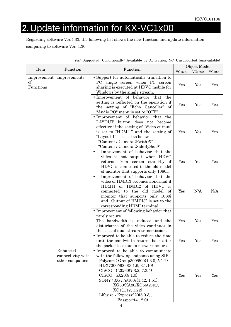## 2. Update information for KX-VC1x00

Regarding software Ver.4.33, the following list shows the new function and update information comparing to software Ver. 4.30.

|                                |                                                                                                                                                                                                                                                                                                                                                                                                                                                     |                                                                                                                                                                                                                                                                                                                                                   |               | Object Model |              |
|--------------------------------|-----------------------------------------------------------------------------------------------------------------------------------------------------------------------------------------------------------------------------------------------------------------------------------------------------------------------------------------------------------------------------------------------------------------------------------------------------|---------------------------------------------------------------------------------------------------------------------------------------------------------------------------------------------------------------------------------------------------------------------------------------------------------------------------------------------------|---------------|--------------|--------------|
| Item                           | Function                                                                                                                                                                                                                                                                                                                                                                                                                                            | Function                                                                                                                                                                                                                                                                                                                                          | <b>VC1600</b> | VC1300       | $\rm VC1000$ |
| Improvement<br>of<br>Functions | Improvements                                                                                                                                                                                                                                                                                                                                                                                                                                        | • Support for automatically transition to<br>PC single screen when PC screen<br>sharing is executed at HDVC mobile for<br>Windows by the single stream.                                                                                                                                                                                           | Yes           | Yes          | Yes          |
|                                | • Improvement of behavior that the<br>setting is reflected on the operation if<br>the setting of "Echo Canceller" of<br>"Audio I/O" menu is set to "OFF".                                                                                                                                                                                                                                                                                           |                                                                                                                                                                                                                                                                                                                                                   | Yes           | Yes          | Yes          |
|                                | • Improvement of behavior that the<br>LAYOUT button<br>does not become<br>effective if the setting of "Video output"<br>is set to "HDMI1" and the setting of<br>"Layout 1" is set to below.<br>"Content / Camera (PwithP)"<br>"Content / Camera (SideBySide)"<br>Improvement of behavior that the<br>video is not output when HDVC<br>returns from screen stand-by if<br>HDVC is connected to the old model<br>of monitor that supports only 1080i. | Yes                                                                                                                                                                                                                                                                                                                                               | Yes           | Yes          |              |
|                                |                                                                                                                                                                                                                                                                                                                                                                                                                                                     | Yes                                                                                                                                                                                                                                                                                                                                               | Yes           | Yes          |              |
|                                |                                                                                                                                                                                                                                                                                                                                                                                                                                                     | Improvement of behavior that the<br>$\bullet$<br>video of HMDI3 becomes abnormal if<br>HDMI1 or HMDI2 of HDVC<br>is<br>connected to the old model<br>of<br>monitor that supports only 1080i<br>and "Output of HMDI3" is set to the<br>corresponding HDMI terminal                                                                                 | Yes           | N/A          | N/A          |
|                                |                                                                                                                                                                                                                                                                                                                                                                                                                                                     | • Improvement of following behavior that<br>rarely occurs.<br>The bandwidth is reduced and the<br>disturbance of the video continues in<br>the case of dual stream transmission.                                                                                                                                                                  | Yes           | Yes          | Yes          |
|                                |                                                                                                                                                                                                                                                                                                                                                                                                                                                     | • Improved to be able to reduce the time<br>until the bandwidth returns back after<br>the packet loss due to network occurs.                                                                                                                                                                                                                      | Yes           | Yes          | Yes          |
|                                | Enhanced<br>connectivity with<br>other companies                                                                                                                                                                                                                                                                                                                                                                                                    | • Improved to be able to communicate<br>with the following endponts using SIP.<br>Polycom : Group300/500(4.3.0, 5.1.2)<br>HDX7000/8000(3.1.6, 3.1.10)<br>CISCO: C20/60(7.3.2, 7.3.5)<br>CISCO : SX20(8.1.0)<br>SONY : XG77s/100s(1.42, 1.51),<br>XG80/XA80/XG55(2.45),<br>XC1(1.12, 1.22)<br>Lifesize : $Express 220(5.0.3),$<br>Passport(4.12.0) | Yes           | Yes          | Yes          |

| Yes: Supported, Conditionally: Available by Activation, No: Unsupported (unavailable) |
|---------------------------------------------------------------------------------------|
|---------------------------------------------------------------------------------------|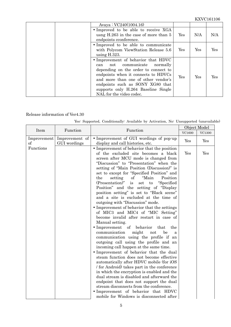| Avaya: $VC240(1004.16)$                                                                                                                                                                                                                                                                                |     |     |     |
|--------------------------------------------------------------------------------------------------------------------------------------------------------------------------------------------------------------------------------------------------------------------------------------------------------|-----|-----|-----|
| • Improved to be able to receive XGA<br>usng H.263 in the case of more than 5<br>endpoints cconference.                                                                                                                                                                                                | Yes | N/A | N/A |
| • Improved to be able to communicate<br>with Polycom ViewStation Release 5.6<br>using $H.323$ .                                                                                                                                                                                                        | Yes | Yes | Yes |
| • Improvement of behavior that HDVC<br>communicate normally<br>not<br>can<br>depending on the order to connect to<br>endpoints when it connects to HDVCs<br>and more than one of other vendor's<br>endpoints such as SONY XG80 that<br>supports only H.264 Baseline Single<br>NAL for the video codec. | Yes | Yes | Yes |

#### Release information of Ver4.30

|                         | Function                       | Function                                                                                                                                                                                                                                                                                                                                                                                                                                                                                                                                                                                                                                                                                                                                                                                                                                                                                                                                                                                                                                                                                                                                                                                                                                                                                                                                                                               |        | Object Model |
|-------------------------|--------------------------------|----------------------------------------------------------------------------------------------------------------------------------------------------------------------------------------------------------------------------------------------------------------------------------------------------------------------------------------------------------------------------------------------------------------------------------------------------------------------------------------------------------------------------------------------------------------------------------------------------------------------------------------------------------------------------------------------------------------------------------------------------------------------------------------------------------------------------------------------------------------------------------------------------------------------------------------------------------------------------------------------------------------------------------------------------------------------------------------------------------------------------------------------------------------------------------------------------------------------------------------------------------------------------------------------------------------------------------------------------------------------------------------|--------|--------------|
| Item                    |                                |                                                                                                                                                                                                                                                                                                                                                                                                                                                                                                                                                                                                                                                                                                                                                                                                                                                                                                                                                                                                                                                                                                                                                                                                                                                                                                                                                                                        | VC1600 | VC1300       |
| Improvement<br>$\sigma$ | Improvement of<br>GUI wordings | • Improvement of GUI wordings of pop-up                                                                                                                                                                                                                                                                                                                                                                                                                                                                                                                                                                                                                                                                                                                                                                                                                                                                                                                                                                                                                                                                                                                                                                                                                                                                                                                                                | Yes    | Yes          |
| Functions               |                                | display and call histories, etc.<br>• Improvement of behavior that the position<br>of the excluded site becomes a black<br>screen after MCU mode is changed from<br>"Discussion" to "Presentation" when the<br>setting of "Main Position (Discussion)" is<br>set to except for "Specified Position" and<br>"Main<br>setting<br>Position<br>the<br>of<br>"Specified<br>(Presentation)"<br>is<br>$\mathop{\rm set}$<br>$\mathbf{t}$<br>Position" and the setting of "Display"<br>position setting" is set to "Black scene"<br>and a site is excluded at the time of<br>outgoing with "Discussion" mode.<br>• Improvement of behavior that the settings<br>of MIC3 and MIC4 of "MIC Setting"<br>become invalid after restart in case of<br>Manual setting.<br>• Improvement of behavior<br>the<br>that<br>communication<br>might<br>be<br>not<br>a<br>communication using the profile if an<br>outgoing call using the profile and an<br>incoming call happen at the same time.<br>· Improvement of behavior that the dual<br>steam function does not become effective<br>automatically after HDVC mobile (for iOS<br>/ for Android) takes part in the conference<br>in which the encryption is enabled and the<br>dual stream is disabled and afterward the<br>endpoint that does not support the dual<br>stream disconnects from the conference.<br>• Improvement of behavior that HDVC | Yes    | Yes          |
|                         |                                | mobile for Windows is disconnected after                                                                                                                                                                                                                                                                                                                                                                                                                                                                                                                                                                                                                                                                                                                                                                                                                                                                                                                                                                                                                                                                                                                                                                                                                                                                                                                                               |        |              |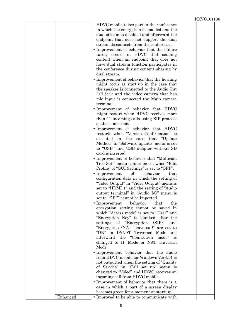|          | HDVC mobile takes part in the conference<br>in which the encryption is enabled and the<br>dual stream is disabled and afterward the<br>endpoint that does not support the dual<br>stream disconnects from the conference.<br>• Improvement of behavior that the failure<br>rarely occurs in HDVC that sending<br>content when an endpoint that does not<br>have dual stream function participates in<br>the conference during content sharing by<br>dual stream.<br>• Improvement of behavior that the howling<br>might occur at start-up in the case that<br>the speaker is connected to the Audio Out<br>L/R jack and the video camera that has<br>mic input is connected the Main camera<br>terminal.<br>· Improvement of behavior that HDVC<br>might restart when HDVC receives more<br>than 11 incoming calls using SIP protocol<br>at the same time.<br>• Improvement of behavior that HDVC<br>restarts when "Version Confirmation" is<br>executed in the case that<br>"Update"<br>Method" in "Software update" menu is set<br>to "USB" and USB adapter without SD<br>card is inserted.<br>• Improvement of behavior that "Multicast"<br>Tree Set." menu cannot be set when "Edit"<br>Profile" of "GUI Settings" is set to "OFF".<br>$\bullet$ Improvement<br>of<br>behavior<br>that<br>configuration data in which the setting of<br>"Video Output" in "Video Output" menu is<br>set to "HDMI 1" and the setting of "Audio"<br>output terminal" in "Audio I/O" menu is<br>set to "OFF" cannot be imported.<br>$\bullet$ Improvement<br>behavior<br>that<br>the<br>encryption setting cannot be saved in<br>which "Access mode" is set to "User" and<br>"Encryption Key" is blanked after the<br>settings of "Encryption (SIP)"<br>and<br>"Encryption (NAT Traversal)" are set to<br>"ON" in IP/NAT Traversal Mode and<br>afterward the "Connection mode" is<br>changed to IP Mode or NAT Traversal<br>Mode.<br>• Improvement behavior that the audio<br>from HDVC mobile for Windows Ver3.14 is |  |
|----------|--------------------------------------------------------------------------------------------------------------------------------------------------------------------------------------------------------------------------------------------------------------------------------------------------------------------------------------------------------------------------------------------------------------------------------------------------------------------------------------------------------------------------------------------------------------------------------------------------------------------------------------------------------------------------------------------------------------------------------------------------------------------------------------------------------------------------------------------------------------------------------------------------------------------------------------------------------------------------------------------------------------------------------------------------------------------------------------------------------------------------------------------------------------------------------------------------------------------------------------------------------------------------------------------------------------------------------------------------------------------------------------------------------------------------------------------------------------------------------------------------------------------------------------------------------------------------------------------------------------------------------------------------------------------------------------------------------------------------------------------------------------------------------------------------------------------------------------------------------------------------------------------------------------------------------------------------------------------------------------------------------|--|
|          |                                                                                                                                                                                                                                                                                                                                                                                                                                                                                                                                                                                                                                                                                                                                                                                                                                                                                                                                                                                                                                                                                                                                                                                                                                                                                                                                                                                                                                                                                                                                                                                                                                                                                                                                                                                                                                                                                                                                                                                                        |  |
|          | not outputted when the setting of "Quality"                                                                                                                                                                                                                                                                                                                                                                                                                                                                                                                                                                                                                                                                                                                                                                                                                                                                                                                                                                                                                                                                                                                                                                                                                                                                                                                                                                                                                                                                                                                                                                                                                                                                                                                                                                                                                                                                                                                                                            |  |
|          | of Service" in "Call set up" menu is<br>changed to "Video" and HDVC receives an                                                                                                                                                                                                                                                                                                                                                                                                                                                                                                                                                                                                                                                                                                                                                                                                                                                                                                                                                                                                                                                                                                                                                                                                                                                                                                                                                                                                                                                                                                                                                                                                                                                                                                                                                                                                                                                                                                                        |  |
|          | incoming call from HDVC mobile.<br>• Improvement of behavior that there is a                                                                                                                                                                                                                                                                                                                                                                                                                                                                                                                                                                                                                                                                                                                                                                                                                                                                                                                                                                                                                                                                                                                                                                                                                                                                                                                                                                                                                                                                                                                                                                                                                                                                                                                                                                                                                                                                                                                           |  |
|          | case in which a part of a screen display                                                                                                                                                                                                                                                                                                                                                                                                                                                                                                                                                                                                                                                                                                                                                                                                                                                                                                                                                                                                                                                                                                                                                                                                                                                                                                                                                                                                                                                                                                                                                                                                                                                                                                                                                                                                                                                                                                                                                               |  |
|          | becomes green for a moment at start-up.                                                                                                                                                                                                                                                                                                                                                                                                                                                                                                                                                                                                                                                                                                                                                                                                                                                                                                                                                                                                                                                                                                                                                                                                                                                                                                                                                                                                                                                                                                                                                                                                                                                                                                                                                                                                                                                                                                                                                                |  |
| Enhanced | • Improved to be able to communicate with                                                                                                                                                                                                                                                                                                                                                                                                                                                                                                                                                                                                                                                                                                                                                                                                                                                                                                                                                                                                                                                                                                                                                                                                                                                                                                                                                                                                                                                                                                                                                                                                                                                                                                                                                                                                                                                                                                                                                              |  |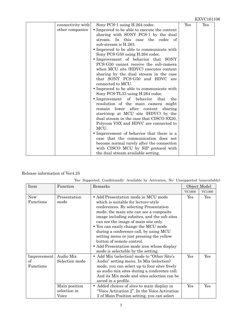| connectivity with | Sony PCS-1 using H.264 codec.                | Yes | $\operatorname{Yes}$ |
|-------------------|----------------------------------------------|-----|----------------------|
| other companies   | • Improved to be able to execute the content |     |                      |
|                   | sharing with SONY PCS-1 by the dual          |     |                      |
|                   | stream. In this case the codec of            |     |                      |
|                   | sub-stream is H.263.                         |     |                      |
|                   | • Improved to be able to communicate with    |     |                      |
|                   | Sony PCS-G50 using H.264 codec.              |     |                      |
|                   | • Improvement of behavior that SONY          |     |                      |
|                   | PCS-G50 cannot receive the sub-camera        |     |                      |
|                   | when MCU site (HDVC) executes content        |     |                      |
|                   | sharing by the dual stream in the case       |     |                      |
|                   | that SONY PCS-G50 and HDVC<br>are            |     |                      |
|                   | connected to MCU.                            |     |                      |
|                   | • Improved to be able to communicate with    |     |                      |
|                   | Sony PCS-TL33 using H.264 codec.             |     |                      |
|                   | • Improvement of behavior<br>that<br>the     |     |                      |
|                   | resolution of the main camera might          |     |                      |
|                   | remain lower after content<br>sharing        |     |                      |
|                   | start/stop at MCU site (HDVC) by the         |     |                      |
|                   | dual stream in the case that CISCO SX20,     |     |                      |
|                   | Polycom VSX and HDVC are connected to        |     |                      |
|                   | MCU.                                         |     |                      |
|                   | • Improvement of behavior that there is a    |     |                      |
|                   | case that the communication does not         |     |                      |
|                   | become normal rarely after the connection    |     |                      |
|                   | with CISCO MCU by SIP protocol with          |     |                      |
|                   | the dual stream available setting.           |     |                      |

#### Release information of Ver4.25

| Yes: Supported, Conditionally: Available by Activation, No: Unsupported (unavailable) |  |  |  |  |
|---------------------------------------------------------------------------------------|--|--|--|--|
|                                                                                       |  |  |  |  |

| Item                           | Function<br>Remarks                          |                                                                                                                                                                                                                                                                                                                                                                                                                                                                                                       |            | Object Model |
|--------------------------------|----------------------------------------------|-------------------------------------------------------------------------------------------------------------------------------------------------------------------------------------------------------------------------------------------------------------------------------------------------------------------------------------------------------------------------------------------------------------------------------------------------------------------------------------------------------|------------|--------------|
|                                |                                              |                                                                                                                                                                                                                                                                                                                                                                                                                                                                                                       | VC1600     | VC1300       |
| <b>New</b><br>Functions        | Presentation<br>mode                         | • Add Presentation mode in MCU mode<br>which is suitable for lecture style<br>conferences. By selecting Presentation<br>mode, the main site can see a composite<br>image including subsites, and the sub sites<br>can see the image of main site only.<br>• You can easily change the MCU mode<br>during a conference call, by using MCU<br>setting menu or just pressing the yellow<br>button of remote control.<br>• Add Presentation mode icon whose display<br>mode is selectable by the setting. | Yes        | Yes          |
| Improvement<br>of<br>Functions | Audio Mix<br>Selection mode<br>Main position | • Add Mix (selection) mode to "Other Site's<br>Audio" setting menu. In Mix (selection)<br>mode, you can select up to four sites freely<br>as audio mix sites during a conference call.<br>And its Mix mode and sites selection can be<br>saved in a profile.<br>Added choices of sites to main display in<br>$\bullet$                                                                                                                                                                                | Yes<br>Yes | Yes<br>Yes   |
|                                | selection in<br>Voice                        | "Voice Activation 2". In the Voice Activation"<br>2 of Main Position setting, you can select                                                                                                                                                                                                                                                                                                                                                                                                          |            |              |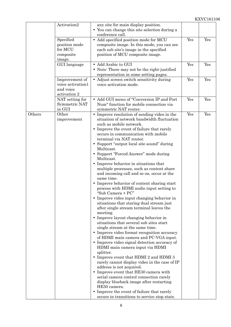|        | Activation2                                                      | any site for main display position.<br>• You can change this site selection during a<br>conference call.                                                                                                                                                                                                                                                                                                                                                                                                                                                                                                                                                                                                                                                                                                                                                                                                                                                                                                                                                                                                                                                                                                                                                                                                                                                                                                                                                       |     |     |
|--------|------------------------------------------------------------------|----------------------------------------------------------------------------------------------------------------------------------------------------------------------------------------------------------------------------------------------------------------------------------------------------------------------------------------------------------------------------------------------------------------------------------------------------------------------------------------------------------------------------------------------------------------------------------------------------------------------------------------------------------------------------------------------------------------------------------------------------------------------------------------------------------------------------------------------------------------------------------------------------------------------------------------------------------------------------------------------------------------------------------------------------------------------------------------------------------------------------------------------------------------------------------------------------------------------------------------------------------------------------------------------------------------------------------------------------------------------------------------------------------------------------------------------------------------|-----|-----|
|        | Specified<br>position mode<br>for MCU<br>composite<br>image.     | • Add specified position mode for MCU<br>composite image. In this mode, you can see<br>each sub site's image in the specified<br>position of MCU composite image.                                                                                                                                                                                                                                                                                                                                                                                                                                                                                                                                                                                                                                                                                                                                                                                                                                                                                                                                                                                                                                                                                                                                                                                                                                                                                              | Yes | Yes |
|        | GUI language                                                     | • Add Arabic to GUI<br>• Note: There may not be the right-justified<br>representation in some setting pages.                                                                                                                                                                                                                                                                                                                                                                                                                                                                                                                                                                                                                                                                                                                                                                                                                                                                                                                                                                                                                                                                                                                                                                                                                                                                                                                                                   | Yes | Yes |
|        | Improvement of<br>voice activation1<br>and voice<br>activation 2 | • Adjust screen switch sensitivity during<br>voice activation mode.                                                                                                                                                                                                                                                                                                                                                                                                                                                                                                                                                                                                                                                                                                                                                                                                                                                                                                                                                                                                                                                                                                                                                                                                                                                                                                                                                                                            | Yes | Yes |
|        | NAT setting for<br>Symmetric NAT<br>in GUI                       | • Add GUI menu of "Conversion IP and Port<br>Num" function for mobile connection via<br>symmetric NAT router.                                                                                                                                                                                                                                                                                                                                                                                                                                                                                                                                                                                                                                                                                                                                                                                                                                                                                                                                                                                                                                                                                                                                                                                                                                                                                                                                                  | Yes | Yes |
| Others | Other<br>improvement                                             | • Improve resolution of sending video in the<br>situation of network bandwidth fluctuation<br>such as mobile network.<br>• Improve the event of failure that rarely<br>occurs in communication with mobile<br>terminal via NAT router.<br>• Support "output local site sound" during<br>Multicast.<br>• Support "Forced Answer" mode during<br>Multicast.<br>• Improve behavior in situations that<br>multiple processes, such as content share<br>and incoming call and so on, occur at the<br>same time.<br>• Improve behavior of content sharing start<br>process with HDMI audio input setting to<br>"Sub Camera + PC"<br>• Improve video input changing behavior in<br>situations that staring dual stream just<br>after single stream terminal leaves the<br>meeting.<br>• Improve layout changing behavior in<br>situations that several sub sites start<br>single stream at the same time.<br>• Improve video format recognition accuracy<br>of HDMI main camera and PC-VGA input.<br>• Improve video signal detection accuracy of<br>HDMI main camera input via HDMI<br>splitter.<br>• Improve event that HDMI 2 and HDMI 3<br>rarely cannot display video in the case of IP<br>address is not acquired.<br>• Improve event that HE30 camera with<br>serial camera control connection rarely<br>display blueback image after restarting<br>HE50 camera.<br>• Improve the event of failure that rarely<br>occurs in transitions to service stop state. | Yes | Yes |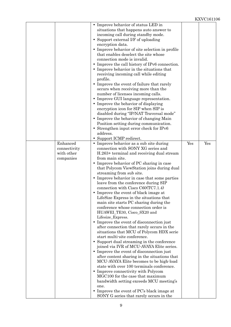|                                                     | • Improve behavior of status LED in<br>situations that happens auto answer to<br>incoming call during standby mode.<br>Support external I/F of uploading<br>encryption data.<br>• Improve behavior of site selection in profile<br>that enables deselect the site whose<br>connection mode is invalid.<br>• Improve the call history of IPv6 connection.<br>• Improve behavior in the situations that<br>receiving incoming call while editing<br>profile.<br>Improve the event of failure that rarely<br>$\bullet$<br>occurs when receiving more than the<br>number of licenses incoming calls.<br>• Improve GUI language representation.<br>• Improve the behavior of displaying<br>encryption icon for SIP when SIP is<br>disabled during "IP/NAT Traversal mode"<br>• Improve the behavior of changing Main<br>Position setting during communication.<br>• Strengthen input error check for IPv6<br>address.<br>Support ICMP redirect.                                                                                                                                                                                                                                                                                                                                                                  |     |     |
|-----------------------------------------------------|-------------------------------------------------------------------------------------------------------------------------------------------------------------------------------------------------------------------------------------------------------------------------------------------------------------------------------------------------------------------------------------------------------------------------------------------------------------------------------------------------------------------------------------------------------------------------------------------------------------------------------------------------------------------------------------------------------------------------------------------------------------------------------------------------------------------------------------------------------------------------------------------------------------------------------------------------------------------------------------------------------------------------------------------------------------------------------------------------------------------------------------------------------------------------------------------------------------------------------------------------------------------------------------------------------------|-----|-----|
| Enhanced<br>connectivity<br>with other<br>companies | • Improve behavior as a sub site during<br>connection with SONY XG series and<br>H.263+ terminal and receiving dual stream<br>from main site.<br>Improve behavior of PC sharing in case<br>that Polycom ViewStation joins during dual<br>streaming from sub site.<br>• Improve behavior in case that some parties<br>leave from the conference during SIP<br>connection with $Cisco$ $C60(TC7.1.4)$<br>• Improve the event of black image at<br>LifeSize Express in the situations that<br>main site starts PC sharing during the<br>conference whose connection order is<br>HUAWEI_TE30, Cisco_SX20 and<br>Lifesize_Express.<br>• Improve the event of disconnection just<br>after connection that rarely occurs in the<br>situations that MCU of Polycom HDX serie<br>start multi-site conference.<br>• Support dual streaming in the conference<br>joined via IVR of MCU-AVAYA Elite series.<br>• Improve the event of disconnection just<br>after content sharing in the situations that<br>MCU-AVAYA Elite becomes to be high-load<br>state with over 100 terminals conference.<br>• Improve connectivity with Polycom<br>MGC100 for the case that maximum<br>bandwidth setting exceeds MCU meeting's<br>one.<br>• Improve the event of PC's black image at<br>SONY G series that rarely occurs in the | Yes | Yes |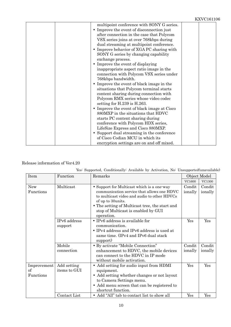#### Release information of Ver4.20

| Item                    | Function     | Remarks                                                                                  |                   | Object Model      |
|-------------------------|--------------|------------------------------------------------------------------------------------------|-------------------|-------------------|
|                         |              |                                                                                          | VC1600            | VC1300            |
| <b>New</b><br>Functions | Multicast    | • Support for Multicast which is a one-way<br>communication service that allows one HDVC | Condit<br>ionally | Condit<br>ionally |
|                         |              | to multicast video and audio to other HDVCs                                              |                   |                   |
|                         |              | of up to 30 units.<br>• The setting of Multicast tree, the start and                     |                   |                   |
|                         |              | stop of Multicast is enabled by GUI                                                      |                   |                   |
|                         |              | operation.                                                                               |                   |                   |
|                         | IPv6 address | • IPv6 address is available for                                                          | Yes               | Yes               |
|                         | support      | communication.                                                                           |                   |                   |
|                         |              | • IPv4 address and IPv6 address is used at                                               |                   |                   |
|                         |              | same time. (IPv4 and IPv6 dual stack<br>support)                                         |                   |                   |
|                         | Mobile       | • By activate "Mobile Connection"                                                        | Condit            | Condit            |
|                         | connection   | enhancement to HDVC, the mobile devices                                                  | ionally           | ionally           |
|                         |              | can connect to the HDVC in IP mode<br>without mobile activation.                         |                   |                   |
| Improvement             | Add setting  | • Add setting for audio input from HDMI                                                  | Yes               | Yes               |
| of                      | items to GUI | equipment.                                                                               |                   |                   |
| Functions               |              | • Add setting whether changes or not layout                                              |                   |                   |
|                         |              | to Camera Settings menu.                                                                 |                   |                   |
|                         |              | • Add menu screen that can be registered to                                              |                   |                   |
|                         |              | shortcut function.                                                                       |                   |                   |
|                         | Contact List | • Add "All" tab to contact list to show all                                              | Yes               | Yes               |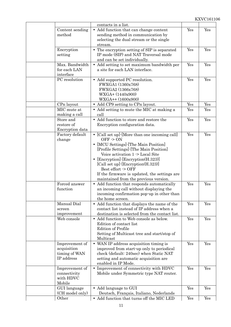|                            | contacts in a list.                                                           |     |     |
|----------------------------|-------------------------------------------------------------------------------|-----|-----|
| Content sending            | • Add function that can change content                                        | Yes | Yes |
| method                     | sending method in communication by<br>selecting the dual stream or the single |     |     |
|                            | stream.                                                                       |     |     |
| Encryption                 | • The encryption setting of SIP is separated                                  | Yes | Yes |
| setting                    | IP mode (SIP) and NAT Traversal mode                                          |     |     |
|                            | and can be set individually.                                                  |     |     |
| Max. Bandwidth             | • Add setting to set maximum bandwidth per                                    | Yes | Yes |
| for each LAN               | a site for each LAN interface.                                                |     |     |
| interface                  |                                                                               |     |     |
| PC resolution              | • Add supported PC resolution.                                                | Yes | Yes |
|                            | FWXGA1 (1360x768)                                                             |     |     |
|                            | FWXGA2 (1366x768)                                                             |     |     |
|                            | WXGA+ (1440x900)                                                              |     |     |
|                            | $WXGA++(1600x900)$                                                            |     |     |
| CPn layout                 | • Add CP9 setting to CPn layout.                                              | Yes | Yes |
| MIC mute at                | • Add setting to mute the MIC at making a                                     | Yes | Yes |
| making a call<br>Store and | call<br>• Add function to store and restore the                               | Yes | Yes |
| restore of                 | Encryption configuration data.                                                |     |     |
| Encryption data            |                                                                               |     |     |
| Factory default            | • [Call set up] $\cdot$ [More than one incoming call]                         | Yes | Yes |
| change                     | $OFF \ge ON$                                                                  |     |     |
|                            | • [MCU Settings] [The Main Position]                                          |     |     |
|                            | [Profile Settings] - [The Main Position]                                      |     |     |
|                            | Voice activation 1 -> Local Site                                              |     |     |
|                            | [Encryption] [Encryption(H.323)]                                              |     |     |
|                            | [Call set up] [Encryption(H.323)]                                             |     |     |
|                            | Best effort $\sim$ OFF                                                        |     |     |
|                            | If the firmware is updated, the settings are                                  |     |     |
|                            | maintained from the previous version.                                         |     |     |
| Forced answer              | $\bullet~$ Add function that responds automatically                           | Yes | Yes |
| function                   | an incoming call without displaying the                                       |     |     |
|                            | incoming confirmation pop-up in other than<br>the home screen.                |     |     |
| Manual Dial                | • Add function that displays the name of the                                  | Yes | Yes |
| screen                     | contact list instead of IP address when a                                     |     |     |
| improvement                | destination is selected from the contact list.                                |     |     |
| Web console                | Add function to Web console as below.<br>$\bullet$                            | Yes | Yes |
|                            | Edition of contact list                                                       |     |     |
|                            | <b>Edition of Profile</b>                                                     |     |     |
|                            | Setting of Multicast tree and start/stop of                                   |     |     |
|                            | Multicast                                                                     |     |     |
| Improvement of             | • WAN IP address acquisition timing is                                        | Yes | Yes |
| acquisition                | improved from start-up only to periodical                                     |     |     |
| timing of WAN              | check (default: 240sec) when Static NAT                                       |     |     |
| IP address                 | setting and automatic acquisition are                                         |     |     |
|                            | enabled in IP Mode.                                                           |     |     |
| Improvement of             | • Improvement of connectivity with HDVC                                       | Yes | Yes |
| connectivity<br>with HDVC  | Mobile under Symmetric type NAT router.                                       |     |     |
| Mobile                     |                                                                               |     |     |
| GUI language               | • Add language to GUI                                                         | Yes | Yes |
| (CH model only)            | Deutsch, Français, Italiano, Nederlands                                       |     |     |
| Other                      | • Add function that turns off the MIC LED                                     | Yes | Yes |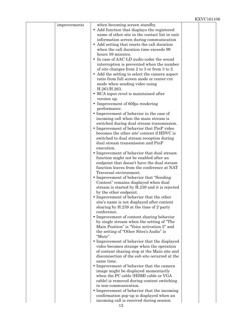| improvements | when becoming screen standby.                                           |  |
|--------------|-------------------------------------------------------------------------|--|
|              | • Add function that displays the registered                             |  |
|              | name of other site in the contact list in unit                          |  |
|              | information screen during communication                                 |  |
|              | • Add setting that resets the call duration                             |  |
|              | when the call duration time exceeds 99                                  |  |
|              | hours 59 minutes.                                                       |  |
|              | • In case of AAC-LD audio codec the sound                               |  |
|              | interruption is prevented when the number                               |  |
|              | of site changes from 2 to 3 or from 3 to 2.                             |  |
|              | • Add the setting to select the camera aspect                           |  |
|              | ratio from full screen mode or center-cut                               |  |
|              | mode when sending video using                                           |  |
|              | H.261/H.263.                                                            |  |
|              | • RCA input revel is maintained after                                   |  |
|              | version up.                                                             |  |
|              | • Improvement of 60fps rendering                                        |  |
|              | performance.                                                            |  |
|              | • Improvement of behavior in the case of                                |  |
|              | incoming call when the main stream is                                   |  |
|              | switched during dual stream transmission.                               |  |
|              | • Improvement of behavior that PinP video                               |  |
|              | becomes the other site' content if HDVC is                              |  |
|              | switched to dual stream reception during                                |  |
|              | dual stream transmission and PinP                                       |  |
|              | execution.                                                              |  |
|              | • Improvement of behavior that dual stream                              |  |
|              | function might not be enabled after an                                  |  |
|              | endpoint that doesn't have the dual stream                              |  |
|              | function leaves from the conference at NAT                              |  |
|              | Traversal environment.                                                  |  |
|              | • Improvement of behavior that "Sending"                                |  |
|              | Content" remains displayed when dual                                    |  |
|              | stream is started by H.239 and it is rejected<br>by the other endpoint. |  |
|              | • Improvement of behavior that the other                                |  |
|              | site's name is not displayed after content                              |  |
|              | sharing by H.239 at the time of 2-party                                 |  |
|              | conference.                                                             |  |
|              | • Improvement of content sharing behavior                               |  |
|              | by single stream when the setting of "The                               |  |
|              | Main Position" is "Voice activation 2" and                              |  |
|              | the setting of "Other Sites's Audio" is                                 |  |
|              | "Mute".                                                                 |  |
|              | • Improvement of behavior that the displayed                            |  |
|              | video becomes strange when the operation                                |  |
|              | of content sharing stop at the Main site and                            |  |
|              | disconnection of the sub site occurred at the                           |  |
|              | same time.                                                              |  |
|              | • Improvement of behavior that the camera                               |  |
|              | image might be displayed momentarily                                    |  |
|              | when the PC cable (HDMI cable or VGA                                    |  |
|              | cable) is removed during content switching                              |  |
|              | in non-communication.                                                   |  |
|              | • Improvement of behavior that the incoming                             |  |
|              | confirmation pop-up is displayed when an                                |  |
|              | incoming call is received during session<br>19                          |  |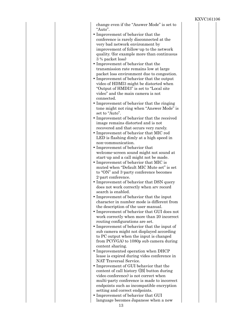| change even if the "Answer Mode" is set to<br>"Auto".                                     |  |
|-------------------------------------------------------------------------------------------|--|
| • Improvement of behavior that the                                                        |  |
| conference is rarely disconnected at the                                                  |  |
| very bad network environment by                                                           |  |
| improvement of follow-up to the network                                                   |  |
| quality. (for example more than continuous                                                |  |
| 3 % packet loss)                                                                          |  |
| • Improvement of behavior that the                                                        |  |
| transmission rate remains low at large                                                    |  |
| packet loss environment due to congestion.<br>• Improvement of behavior that the output   |  |
| video of HDMI3 might be distorted when                                                    |  |
| "Output of HMDI3" is set to "Local site"                                                  |  |
| video" and the main camera is not                                                         |  |
| connected.                                                                                |  |
| • Improvement of behavior that the ringing                                                |  |
| tone might not ring when "Answer Mode" is                                                 |  |
| set to "Auto".                                                                            |  |
| • Improvement of behavior that the received                                               |  |
| image remains distorted and is not<br>recovered and that occurs very rarely.              |  |
| • Improvement of behavior that MIC red                                                    |  |
| LED is flashing dimly at a high speed in                                                  |  |
| non-communication.                                                                        |  |
| • Improvement of behavior that                                                            |  |
| welcome-screen sound might not sound at                                                   |  |
| start-up and a call might not be made.                                                    |  |
| • Improvement of behavior that MIC is                                                     |  |
| muted when "Default MIC Mute set" is set<br>to "ON" and 3-party conference becomes        |  |
| 2-part conference.                                                                        |  |
| • Improvement of behavior that DSN query                                                  |  |
| does not work correctly when srv record                                                   |  |
| search is enabled.                                                                        |  |
| • Improvement of behavior that the input                                                  |  |
| character in number mode is different from                                                |  |
| the description of the user manual.                                                       |  |
| • Improvement of behavior that GUI does not<br>work correctly when more than 20 incorrect |  |
| routing configurations are set.                                                           |  |
| • Improvement of behavior that the input of                                               |  |
| sub camera might not displayed according                                                  |  |
| to PC output when the input is changed                                                    |  |
| from PC(VGA) to 1080p sub camera during                                                   |  |
| content sharing.                                                                          |  |
| • Improvemented operation when DHCP<br>lease is expired during vides conference in        |  |
| NAT Traversal Service.                                                                    |  |
| • Improvement of GUI behavior that the                                                    |  |
| content of call history ([B] button during                                                |  |
| video conference) is not correct when                                                     |  |
| multi-party conference is made to incorrect                                               |  |
| endpoints such as incompatible encryption                                                 |  |
| setting and correct endpoints.                                                            |  |
| • Improvement of behavior that GUI<br>language becomes Japanese when a new                |  |
|                                                                                           |  |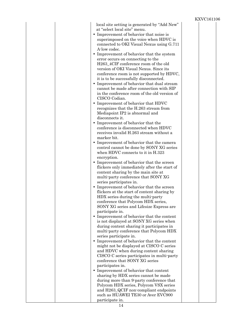| local site setting is generated by "Add New"<br>at "select local site" menu.<br>• Improvement of behavior that noise is<br>superimposed on the voice when HDVC is<br>connected to OKI Visual Nexus using G.711<br>A-low codec.<br>• Improvement of behavior that the system<br>error occurs on connecting to the<br>H263_4CIF conference room of the old<br>version of OKI Visual Nexus. Since its<br>conference room is not supported by HDVC,<br>it is to be successfully disconnected.<br>• Improvement of behavior that dual stream<br>cannot be made after connection with SIP<br>in the conference room of the old version of<br>CISCO Codian.<br>• Improvement of behavior that HDVC<br>recognizes that the H.263 stream from<br>Mediapoint IP2 is abnormal and<br>disconnects it.<br>• Improvement of behavior that the<br>conference is disconnected when HDVC<br>receives invalid H.263 stream without a<br>marker bit.<br>• Improvement of behavior that the camera<br>control cannot be done by SONY XG series<br>when HDVC connects to it in H.323<br>encryption.<br>• Improvement of behavior that the screen<br>flickers only immediately after the start of<br>content sharing by the main site at<br>multi-party conference that SONY XG<br>series participates in.<br>• Improvement of behavior that the screen<br>flickers at the start of content sharing by<br>HDX series during the multi-party<br>conference that Polycom HDX series,<br>SONY XG series and Lifesize Express are<br>participate in. |  |
|----------------------------------------------------------------------------------------------------------------------------------------------------------------------------------------------------------------------------------------------------------------------------------------------------------------------------------------------------------------------------------------------------------------------------------------------------------------------------------------------------------------------------------------------------------------------------------------------------------------------------------------------------------------------------------------------------------------------------------------------------------------------------------------------------------------------------------------------------------------------------------------------------------------------------------------------------------------------------------------------------------------------------------------------------------------------------------------------------------------------------------------------------------------------------------------------------------------------------------------------------------------------------------------------------------------------------------------------------------------------------------------------------------------------------------------------------------------------------------------------------------------------------|--|
|                                                                                                                                                                                                                                                                                                                                                                                                                                                                                                                                                                                                                                                                                                                                                                                                                                                                                                                                                                                                                                                                                                                                                                                                                                                                                                                                                                                                                                                                                                                            |  |
|                                                                                                                                                                                                                                                                                                                                                                                                                                                                                                                                                                                                                                                                                                                                                                                                                                                                                                                                                                                                                                                                                                                                                                                                                                                                                                                                                                                                                                                                                                                            |  |
| • Improvement of behavior that the content<br>is not displayed at SONY XG series when<br>during content sharing it participates in<br>multi-party conference that Polycom HDX                                                                                                                                                                                                                                                                                                                                                                                                                                                                                                                                                                                                                                                                                                                                                                                                                                                                                                                                                                                                                                                                                                                                                                                                                                                                                                                                              |  |
| series participate in.<br>• Improvement of behavior that the content<br>might not be displayed at CISCO C series                                                                                                                                                                                                                                                                                                                                                                                                                                                                                                                                                                                                                                                                                                                                                                                                                                                                                                                                                                                                                                                                                                                                                                                                                                                                                                                                                                                                           |  |
| and HDVC when during content sharing<br>CISCO C series participates in multi-party<br>conference that SONY XG series                                                                                                                                                                                                                                                                                                                                                                                                                                                                                                                                                                                                                                                                                                                                                                                                                                                                                                                                                                                                                                                                                                                                                                                                                                                                                                                                                                                                       |  |
| participates in.<br>• Improvement of behavior that content<br>sharing by HDX series cannot be made<br>during more than 9-party conference that<br>Polycom HDX series, Polycom VSX series<br>and H263_QCIF non-compliant endpoints<br>such as HUAWEI TE30 or Aver EVC900<br>participate in.                                                                                                                                                                                                                                                                                                                                                                                                                                                                                                                                                                                                                                                                                                                                                                                                                                                                                                                                                                                                                                                                                                                                                                                                                                 |  |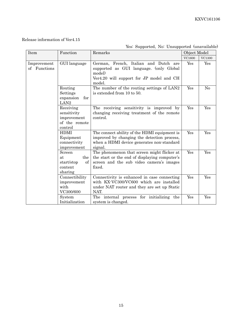#### Release information of Ver4.15

#### Yes: Supported, No: Unsupported (unavailable)

| Item                        | Function                                                            | Remarks                                                                                                                                             |        | Object Model  |  |
|-----------------------------|---------------------------------------------------------------------|-----------------------------------------------------------------------------------------------------------------------------------------------------|--------|---------------|--|
|                             |                                                                     |                                                                                                                                                     | VC1600 | <b>VC1300</b> |  |
| Improvement<br>of Functions | GUI language                                                        | German, French, Italian and Dutch are<br>supported as GUI language. (only Global<br>model)<br>Ver4.20 will support for JP model and CH<br>model.    | Yes    | Yes           |  |
|                             | Routing<br>Settings<br>expansion<br>for<br>LAN <sub>2</sub>         | The number of the routing settings of LAN2<br>is extended from 10 to 50.                                                                            | Yes    | No            |  |
|                             | Receiving<br>sensitivity<br>improvement<br>of the remote<br>control | The receiving sensitivity is improved by<br>changing receiving treatment of the remote<br>control.                                                  | Yes    | Yes           |  |
|                             | <b>HDMI</b><br>Equipment<br>connectivity<br>improvement             | The connect ability of the HDMI equipment is<br>improved by changing the detection process,<br>when a HDMI device generates non-standard<br>signal. | Yes    | Yes           |  |
|                             | Screen<br>the<br>at<br>start/stop<br>of<br>content<br>sharing       | The phenomenon that screen might flicker at<br>the start or the end of displaying computer's<br>screen and the sub video camera's images<br>fixed.  | Yes    | Yes           |  |
|                             | Connectibility<br>improvement<br>with<br>VC300/600                  | Connectivity is enhanced in case connecting<br>with KX-VC300/VC600 which are installed<br>under NAT router and they are set up Static<br>NAT.       | Yes    | Yes           |  |
|                             | System<br>Initialization                                            | The internal process for initializing<br>the<br>system is changed.                                                                                  | Yes    | Yes           |  |